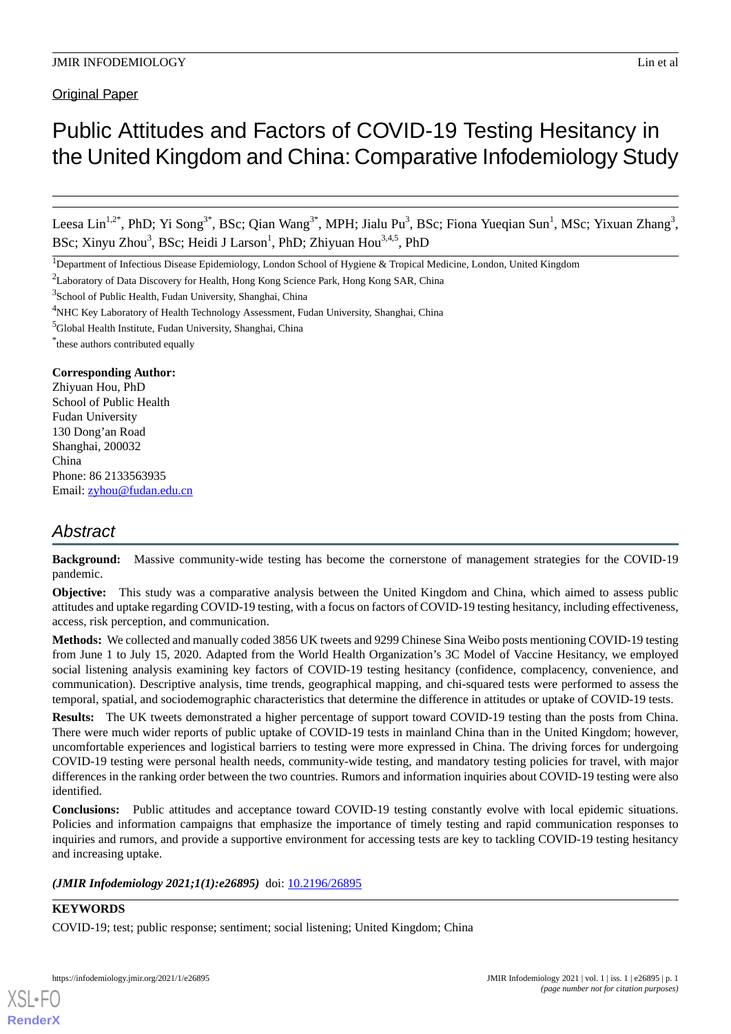Original Paper

# Public Attitudes and Factors of COVID-19 Testing Hesitancy in the United Kingdom and China: Comparative Infodemiology Study

Leesa Lin<sup>1,2\*</sup>, PhD; Yi Song<sup>3\*</sup>, BSc; Qian Wang<sup>3\*</sup>, MPH; Jialu Pu<sup>3</sup>, BSc; Fiona Yueqian Sun<sup>1</sup>, MSc; Yixuan Zhang<sup>3</sup>, BSc; Xinyu Zhou<sup>3</sup>, BSc; Heidi J Larson<sup>1</sup>, PhD; Zhiyuan Hou<sup>3,4,5</sup>, PhD

\* these authors contributed equally

## **Corresponding Author:**

Zhiyuan Hou, PhD School of Public Health Fudan University 130 Dong'an Road Shanghai, 200032 China Phone: 86 2133563935 Email: [zyhou@fudan.edu.cn](mailto:zyhou@fudan.edu.cn)

# *Abstract*

**Background:** Massive community-wide testing has become the cornerstone of management strategies for the COVID-19 pandemic.

**Objective:** This study was a comparative analysis between the United Kingdom and China, which aimed to assess public attitudes and uptake regarding COVID-19 testing, with a focus on factors of COVID-19 testing hesitancy, including effectiveness, access, risk perception, and communication.

**Methods:** We collected and manually coded 3856 UK tweets and 9299 Chinese Sina Weibo posts mentioning COVID-19 testing from June 1 to July 15, 2020. Adapted from the World Health Organization's 3C Model of Vaccine Hesitancy, we employed social listening analysis examining key factors of COVID-19 testing hesitancy (confidence, complacency, convenience, and communication). Descriptive analysis, time trends, geographical mapping, and chi-squared tests were performed to assess the temporal, spatial, and sociodemographic characteristics that determine the difference in attitudes or uptake of COVID-19 tests.

**Results:** The UK tweets demonstrated a higher percentage of support toward COVID-19 testing than the posts from China. There were much wider reports of public uptake of COVID-19 tests in mainland China than in the United Kingdom; however, uncomfortable experiences and logistical barriers to testing were more expressed in China. The driving forces for undergoing COVID-19 testing were personal health needs, community-wide testing, and mandatory testing policies for travel, with major differences in the ranking order between the two countries. Rumors and information inquiries about COVID-19 testing were also identified.

**Conclusions:** Public attitudes and acceptance toward COVID-19 testing constantly evolve with local epidemic situations. Policies and information campaigns that emphasize the importance of timely testing and rapid communication responses to inquiries and rumors, and provide a supportive environment for accessing tests are key to tackling COVID-19 testing hesitancy and increasing uptake.

(JMIR Infodemiology 2021;1(1):e26895) doi: [10.2196/26895](http://dx.doi.org/10.2196/26895)

## **KEYWORDS**

[XSL](http://www.w3.org/Style/XSL)•FO **[RenderX](http://www.renderx.com/)**

COVID-19; test; public response; sentiment; social listening; United Kingdom; China

<sup>&</sup>lt;sup>1</sup>Department of Infectious Disease Epidemiology, London School of Hygiene & Tropical Medicine, London, United Kingdom

<sup>&</sup>lt;sup>2</sup>Laboratory of Data Discovery for Health, Hong Kong Science Park, Hong Kong SAR, China

<sup>&</sup>lt;sup>3</sup>School of Public Health, Fudan University, Shanghai, China

<sup>&</sup>lt;sup>4</sup>NHC Key Laboratory of Health Technology Assessment, Fudan University, Shanghai, China

<sup>5</sup>Global Health Institute, Fudan University, Shanghai, China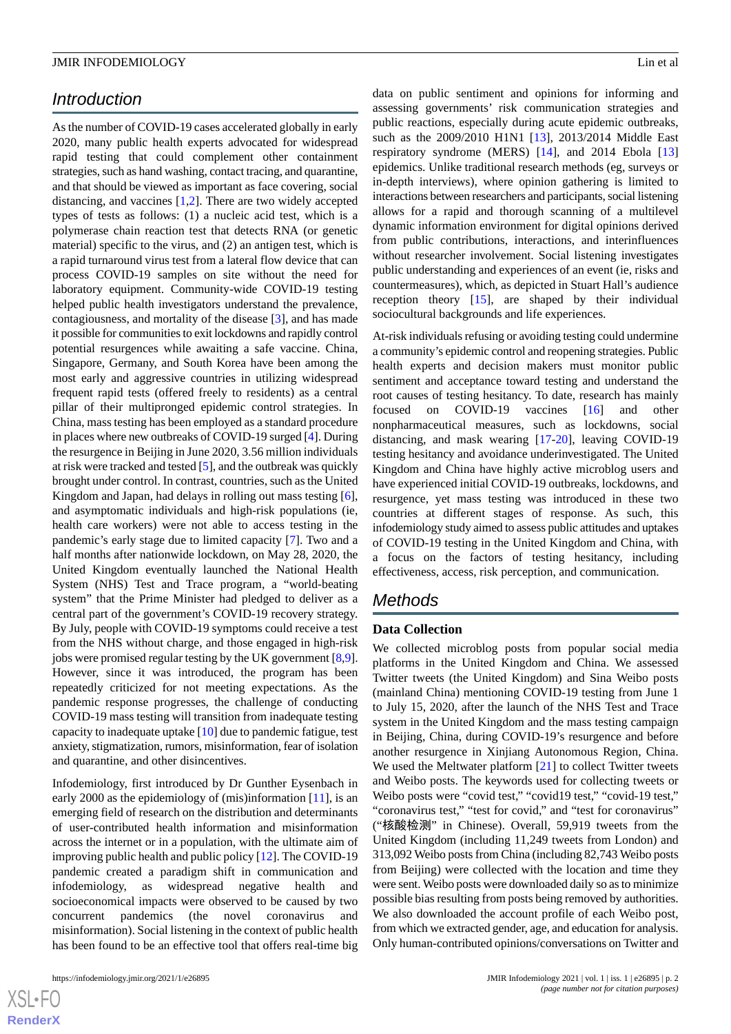## *Introduction*

As the number of COVID-19 cases accelerated globally in early 2020, many public health experts advocated for widespread rapid testing that could complement other containment strategies, such as hand washing, contact tracing, and quarantine, and that should be viewed as important as face covering, social distancing, and vaccines [[1,](#page-11-0)[2](#page-11-1)]. There are two widely accepted types of tests as follows: (1) a nucleic acid test, which is a polymerase chain reaction test that detects RNA (or genetic material) specific to the virus, and (2) an antigen test, which is a rapid turnaround virus test from a lateral flow device that can process COVID-19 samples on site without the need for laboratory equipment. Community-wide COVID-19 testing helped public health investigators understand the prevalence, contagiousness, and mortality of the disease [\[3](#page-11-2)], and has made it possible for communities to exit lockdowns and rapidly control potential resurgences while awaiting a safe vaccine. China, Singapore, Germany, and South Korea have been among the most early and aggressive countries in utilizing widespread frequent rapid tests (offered freely to residents) as a central pillar of their multipronged epidemic control strategies. In China, mass testing has been employed as a standard procedure in places where new outbreaks of COVID-19 surged [\[4\]](#page-12-0). During the resurgence in Beijing in June 2020, 3.56 million individuals at risk were tracked and tested [\[5](#page-12-1)], and the outbreak was quickly brought under control. In contrast, countries, such as the United Kingdom and Japan, had delays in rolling out mass testing [[6\]](#page-12-2), and asymptomatic individuals and high-risk populations (ie, health care workers) were not able to access testing in the pandemic's early stage due to limited capacity [[7\]](#page-12-3). Two and a half months after nationwide lockdown, on May 28, 2020, the United Kingdom eventually launched the National Health System (NHS) Test and Trace program, a "world-beating system" that the Prime Minister had pledged to deliver as a central part of the government's COVID-19 recovery strategy. By July, people with COVID-19 symptoms could receive a test from the NHS without charge, and those engaged in high-risk jobs were promised regular testing by the UK government [[8](#page-12-4),[9\]](#page-12-5). However, since it was introduced, the program has been repeatedly criticized for not meeting expectations. As the pandemic response progresses, the challenge of conducting COVID-19 mass testing will transition from inadequate testing capacity to inadequate uptake [\[10\]](#page-12-6) due to pandemic fatigue, test anxiety, stigmatization, rumors, misinformation, fear of isolation and quarantine, and other disincentives.

Infodemiology, first introduced by Dr Gunther Eysenbach in early 2000 as the epidemiology of (mis)information [[11\]](#page-12-7), is an emerging field of research on the distribution and determinants of user-contributed health information and misinformation across the internet or in a population, with the ultimate aim of improving public health and public policy [\[12](#page-12-8)]. The COVID-19 pandemic created a paradigm shift in communication and infodemiology, as widespread negative health and socioeconomical impacts were observed to be caused by two concurrent pandemics (the novel coronavirus and misinformation). Social listening in the context of public health has been found to be an effective tool that offers real-time big

data on public sentiment and opinions for informing and assessing governments' risk communication strategies and public reactions, especially during acute epidemic outbreaks, such as the 2009/2010 H1N1 [[13\]](#page-12-9), 2013/2014 Middle East respiratory syndrome (MERS) [\[14](#page-12-10)], and 2014 Ebola [\[13](#page-12-9)] epidemics. Unlike traditional research methods (eg, surveys or in-depth interviews), where opinion gathering is limited to interactions between researchers and participants, social listening allows for a rapid and thorough scanning of a multilevel dynamic information environment for digital opinions derived from public contributions, interactions, and interinfluences without researcher involvement. Social listening investigates public understanding and experiences of an event (ie, risks and countermeasures), which, as depicted in Stuart Hall's audience reception theory [\[15](#page-12-11)], are shaped by their individual sociocultural backgrounds and life experiences.

At-risk individuals refusing or avoiding testing could undermine a community's epidemic control and reopening strategies. Public health experts and decision makers must monitor public sentiment and acceptance toward testing and understand the root causes of testing hesitancy. To date, research has mainly focused on COVID-19 vaccines [\[16](#page-12-12)] and other nonpharmaceutical measures, such as lockdowns, social distancing, and mask wearing [\[17](#page-12-13)-[20\]](#page-12-14), leaving COVID-19 testing hesitancy and avoidance underinvestigated. The United Kingdom and China have highly active microblog users and have experienced initial COVID-19 outbreaks, lockdowns, and resurgence, yet mass testing was introduced in these two countries at different stages of response. As such, this infodemiology study aimed to assess public attitudes and uptakes of COVID-19 testing in the United Kingdom and China, with a focus on the factors of testing hesitancy, including effectiveness, access, risk perception, and communication.

## *Methods*

## **Data Collection**

We collected microblog posts from popular social media platforms in the United Kingdom and China. We assessed Twitter tweets (the United Kingdom) and Sina Weibo posts (mainland China) mentioning COVID-19 testing from June 1 to July 15, 2020, after the launch of the NHS Test and Trace system in the United Kingdom and the mass testing campaign in Beijing, China, during COVID-19's resurgence and before another resurgence in Xinjiang Autonomous Region, China. We used the Meltwater platform [[21\]](#page-12-15) to collect Twitter tweets and Weibo posts. The keywords used for collecting tweets or Weibo posts were "covid test," "covid19 test," "covid-19 test," "coronavirus test," "test for covid," and "test for coronavirus" ("核酸检测" in Chinese). Overall, 59,919 tweets from the United Kingdom (including 11,249 tweets from London) and 313,092 Weibo posts from China (including 82,743 Weibo posts from Beijing) were collected with the location and time they were sent. Weibo posts were downloaded daily so as to minimize possible bias resulting from posts being removed by authorities. We also downloaded the account profile of each Weibo post, from which we extracted gender, age, and education for analysis. Only human-contributed opinions/conversations on Twitter and

```
XSI - F(RenderX
```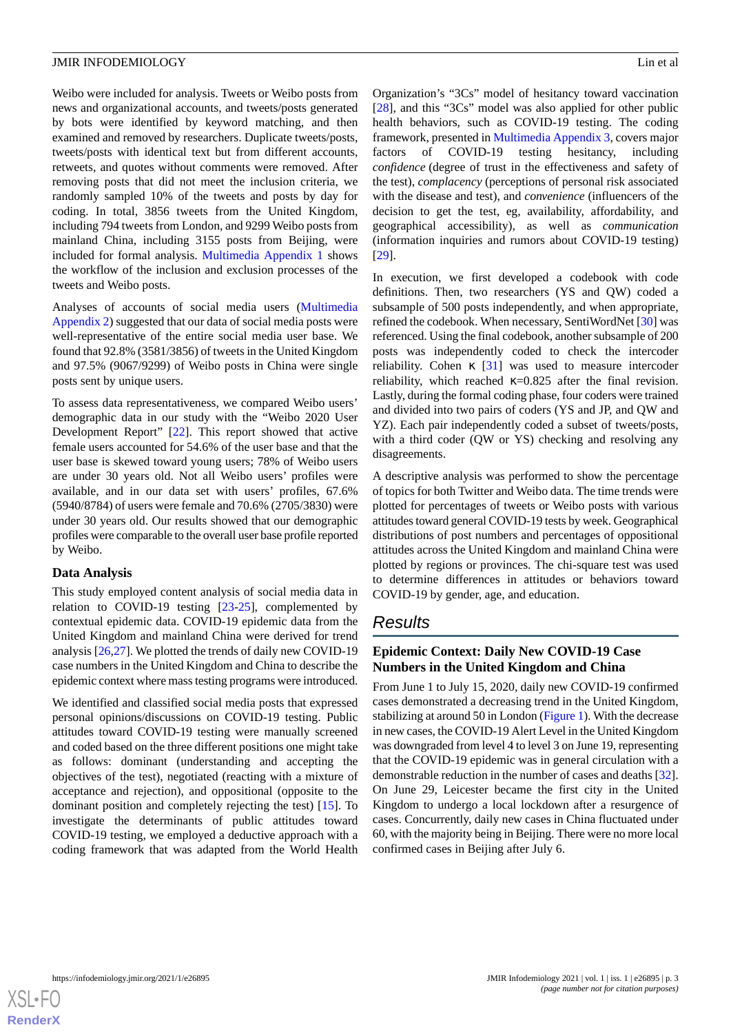Weibo were included for analysis. Tweets or Weibo posts from news and organizational accounts, and tweets/posts generated by bots were identified by keyword matching, and then examined and removed by researchers. Duplicate tweets/posts, tweets/posts with identical text but from different accounts, retweets, and quotes without comments were removed. After removing posts that did not meet the inclusion criteria, we randomly sampled 10% of the tweets and posts by day for coding. In total, 3856 tweets from the United Kingdom, including 794 tweets from London, and 9299 Weibo posts from mainland China, including 3155 posts from Beijing, were included for formal analysis. [Multimedia Appendix 1](#page-11-3) shows the workflow of the inclusion and exclusion processes of the tweets and Weibo posts.

Analyses of accounts of social media users ([Multimedia](#page-11-4) [Appendix 2](#page-11-4)) suggested that our data of social media posts were well-representative of the entire social media user base. We found that 92.8% (3581/3856) of tweets in the United Kingdom and 97.5% (9067/9299) of Weibo posts in China were single posts sent by unique users.

To assess data representativeness, we compared Weibo users' demographic data in our study with the "Weibo 2020 User Development Report" [[22\]](#page-12-16). This report showed that active female users accounted for 54.6% of the user base and that the user base is skewed toward young users; 78% of Weibo users are under 30 years old. Not all Weibo users' profiles were available, and in our data set with users' profiles, 67.6% (5940/8784) of users were female and 70.6% (2705/3830) were under 30 years old. Our results showed that our demographic profiles were comparable to the overall user base profile reported by Weibo.

## **Data Analysis**

This study employed content analysis of social media data in relation to COVID-19 testing [[23](#page-12-17)[-25](#page-12-18)], complemented by contextual epidemic data. COVID-19 epidemic data from the United Kingdom and mainland China were derived for trend analysis [\[26](#page-12-19),[27\]](#page-12-20). We plotted the trends of daily new COVID-19 case numbers in the United Kingdom and China to describe the epidemic context where mass testing programs were introduced.

We identified and classified social media posts that expressed personal opinions/discussions on COVID-19 testing. Public attitudes toward COVID-19 testing were manually screened and coded based on the three different positions one might take as follows: dominant (understanding and accepting the objectives of the test), negotiated (reacting with a mixture of acceptance and rejection), and oppositional (opposite to the dominant position and completely rejecting the test) [\[15](#page-12-11)]. To investigate the determinants of public attitudes toward COVID-19 testing, we employed a deductive approach with a coding framework that was adapted from the World Health

Organization's "3Cs" model of hesitancy toward vaccination [[28\]](#page-12-21), and this "3Cs" model was also applied for other public health behaviors, such as COVID-19 testing. The coding framework, presented in [Multimedia Appendix 3](#page-11-5), covers major factors of COVID-19 testing hesitancy, including *confidence* (degree of trust in the effectiveness and safety of the test), *complacency* (perceptions of personal risk associated with the disease and test), and *convenience* (influencers of the decision to get the test, eg, availability, affordability, and geographical accessibility), as well as *communication* (information inquiries and rumors about COVID-19 testing) [[29\]](#page-13-0).

In execution, we first developed a codebook with code definitions. Then, two researchers (YS and QW) coded a subsample of 500 posts independently, and when appropriate, refined the codebook. When necessary, SentiWordNet [\[30](#page-13-1)] was referenced. Using the final codebook, another subsample of 200 posts was independently coded to check the intercoder reliability. Cohen κ [\[31](#page-13-2)] was used to measure intercoder reliability, which reached  $\kappa$ =0.825 after the final revision. Lastly, during the formal coding phase, four coders were trained and divided into two pairs of coders (YS and JP, and QW and YZ). Each pair independently coded a subset of tweets/posts, with a third coder (QW or YS) checking and resolving any disagreements.

A descriptive analysis was performed to show the percentage of topics for both Twitter and Weibo data. The time trends were plotted for percentages of tweets or Weibo posts with various attitudes toward general COVID-19 tests by week. Geographical distributions of post numbers and percentages of oppositional attitudes across the United Kingdom and mainland China were plotted by regions or provinces. The chi-square test was used to determine differences in attitudes or behaviors toward COVID-19 by gender, age, and education.

# *Results*

## **Epidemic Context: Daily New COVID-19 Case Numbers in the United Kingdom and China**

From June 1 to July 15, 2020, daily new COVID-19 confirmed cases demonstrated a decreasing trend in the United Kingdom, stabilizing at around 50 in London ([Figure 1\)](#page-3-0). With the decrease in new cases, the COVID-19 Alert Level in the United Kingdom was downgraded from level 4 to level 3 on June 19, representing that the COVID-19 epidemic was in general circulation with a demonstrable reduction in the number of cases and deaths [[32\]](#page-13-3). On June 29, Leicester became the first city in the United Kingdom to undergo a local lockdown after a resurgence of cases. Concurrently, daily new cases in China fluctuated under 60, with the majority being in Beijing. There were no more local confirmed cases in Beijing after July 6.

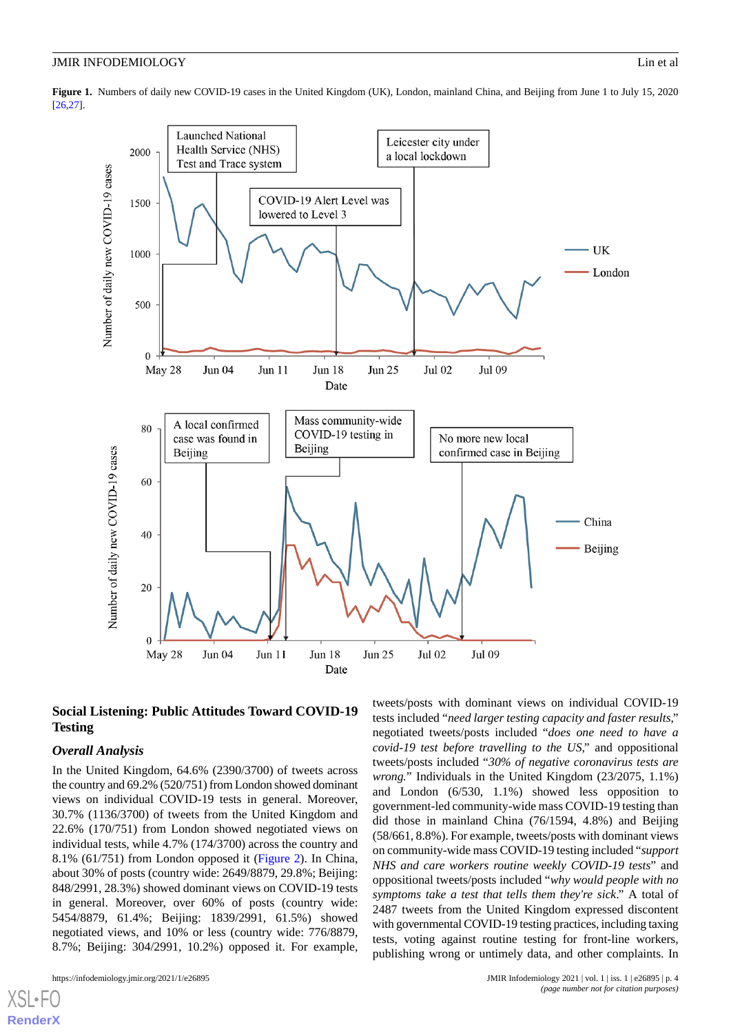<span id="page-3-0"></span>**Figure 1.** Numbers of daily new COVID-19 cases in the United Kingdom (UK), London, mainland China, and Beijing from June 1 to July 15, 2020 [\[26,](#page-12-19)[27](#page-12-20)].



## **Social Listening: Public Attitudes Toward COVID-19 Testing**

## *Overall Analysis*

In the United Kingdom, 64.6% (2390/3700) of tweets across the country and 69.2% (520/751) from London showed dominant views on individual COVID-19 tests in general. Moreover, 30.7% (1136/3700) of tweets from the United Kingdom and 22.6% (170/751) from London showed negotiated views on individual tests, while 4.7% (174/3700) across the country and 8.1% (61/751) from London opposed it [\(Figure 2](#page-4-0)). In China, about 30% of posts (country wide: 2649/8879, 29.8%; Beijing: 848/2991, 28.3%) showed dominant views on COVID-19 tests in general. Moreover, over 60% of posts (country wide: 5454/8879, 61.4%; Beijing: 1839/2991, 61.5%) showed negotiated views, and 10% or less (country wide: 776/8879, 8.7%; Beijing: 304/2991, 10.2%) opposed it. For example,

[XSL](http://www.w3.org/Style/XSL)•FO **[RenderX](http://www.renderx.com/)**

tweets/posts with dominant views on individual COVID-19 tests included "*need larger testing capacity and faster results*," negotiated tweets/posts included "*does one need to have a covid-19 test before travelling to the US*," and oppositional tweets/posts included "*30% of negative coronavirus tests are wrong.*" Individuals in the United Kingdom (23/2075, 1.1%) and London (6/530, 1.1%) showed less opposition to government-led community-wide mass COVID-19 testing than did those in mainland China (76/1594, 4.8%) and Beijing (58/661, 8.8%). For example, tweets/posts with dominant views on community-wide mass COVID-19 testing included "*support NHS and care workers routine weekly COVID-19 tests*" and oppositional tweets/posts included "*why would people with no symptoms take a test that tells them they're sick*." A total of 2487 tweets from the United Kingdom expressed discontent with governmental COVID-19 testing practices, including taxing tests, voting against routine testing for front-line workers, publishing wrong or untimely data, and other complaints. In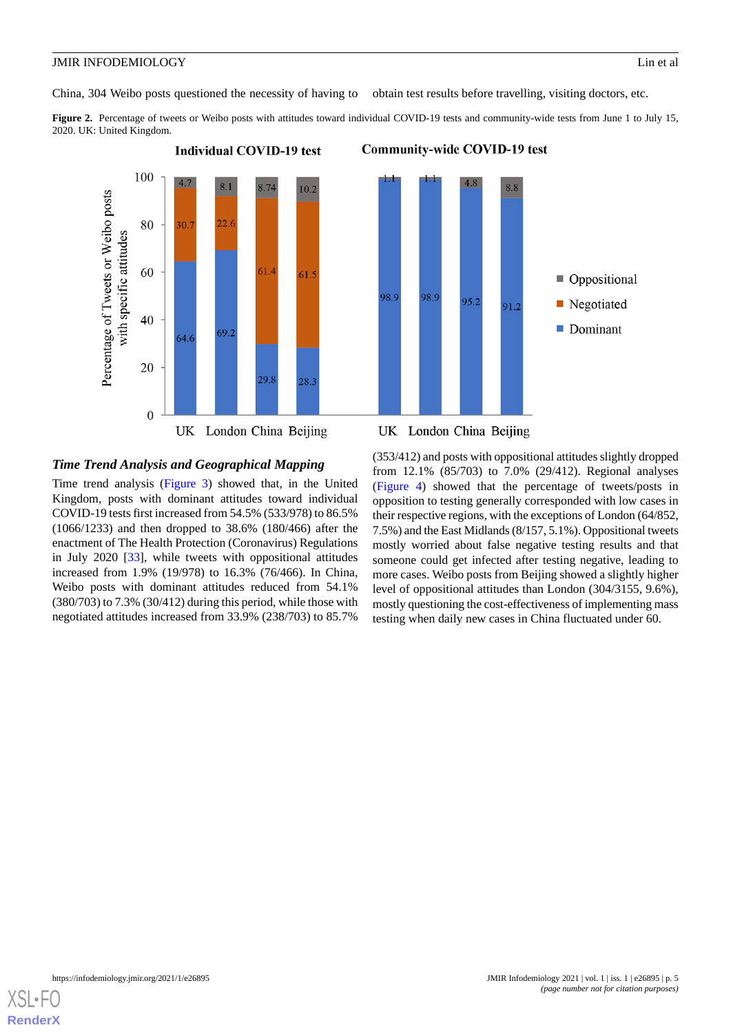China, 304 Weibo posts questioned the necessity of having to obtain test results before travelling, visiting doctors, etc.

<span id="page-4-0"></span>Figure 2. Percentage of tweets or Weibo posts with attitudes toward individual COVID-19 tests and community-wide tests from June 1 to July 15, 2020. UK: United Kingdom.



## *Time Trend Analysis and Geographical Mapping*

Time trend analysis ([Figure 3\)](#page-5-0) showed that, in the United Kingdom, posts with dominant attitudes toward individual COVID-19 tests first increased from 54.5% (533/978) to 86.5% (1066/1233) and then dropped to 38.6% (180/466) after the enactment of The Health Protection (Coronavirus) Regulations in July 2020 [\[33](#page-13-4)], while tweets with oppositional attitudes increased from 1.9% (19/978) to 16.3% (76/466). In China, Weibo posts with dominant attitudes reduced from 54.1% (380/703) to 7.3% (30/412) during this period, while those with negotiated attitudes increased from 33.9% (238/703) to 85.7%

## UK London China Beijing

**Community-wide COVID-19 test** 

(353/412) and posts with oppositional attitudes slightly dropped from 12.1% (85/703) to 7.0% (29/412). Regional analyses ([Figure 4\)](#page-6-0) showed that the percentage of tweets/posts in opposition to testing generally corresponded with low cases in their respective regions, with the exceptions of London (64/852, 7.5%) and the East Midlands (8/157, 5.1%). Oppositional tweets mostly worried about false negative testing results and that someone could get infected after testing negative, leading to more cases. Weibo posts from Beijing showed a slightly higher level of oppositional attitudes than London (304/3155, 9.6%), mostly questioning the cost-effectiveness of implementing mass testing when daily new cases in China fluctuated under 60.

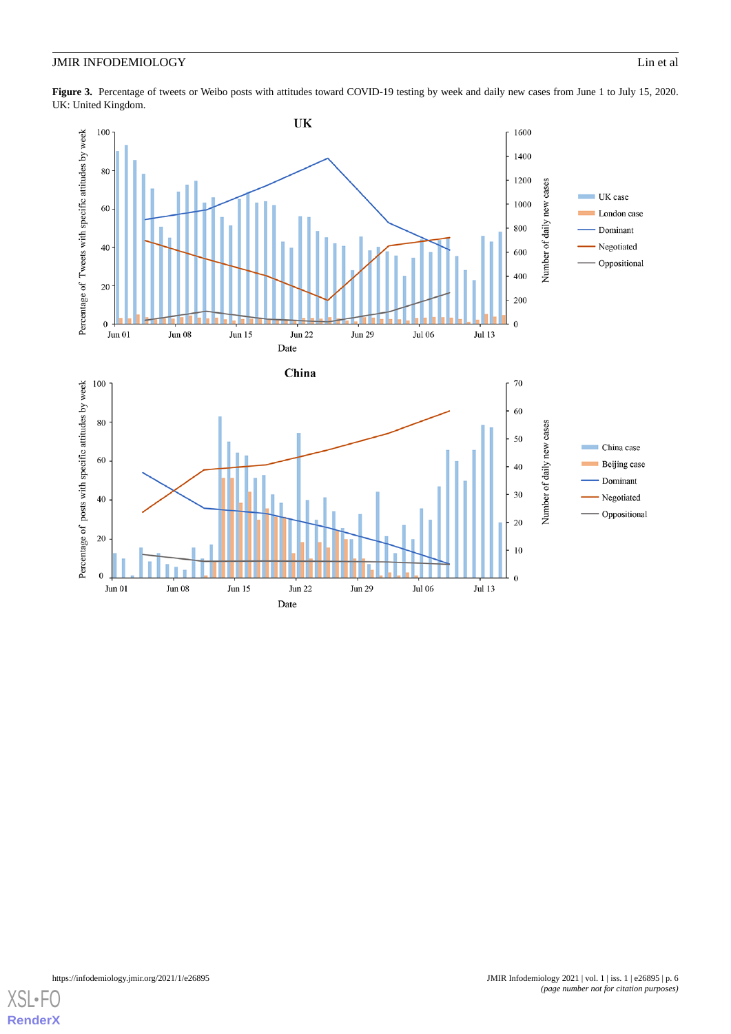<span id="page-5-0"></span>Figure 3. Percentage of tweets or Weibo posts with attitudes toward COVID-19 testing by week and daily new cases from June 1 to July 15, 2020. UK: United Kingdom.



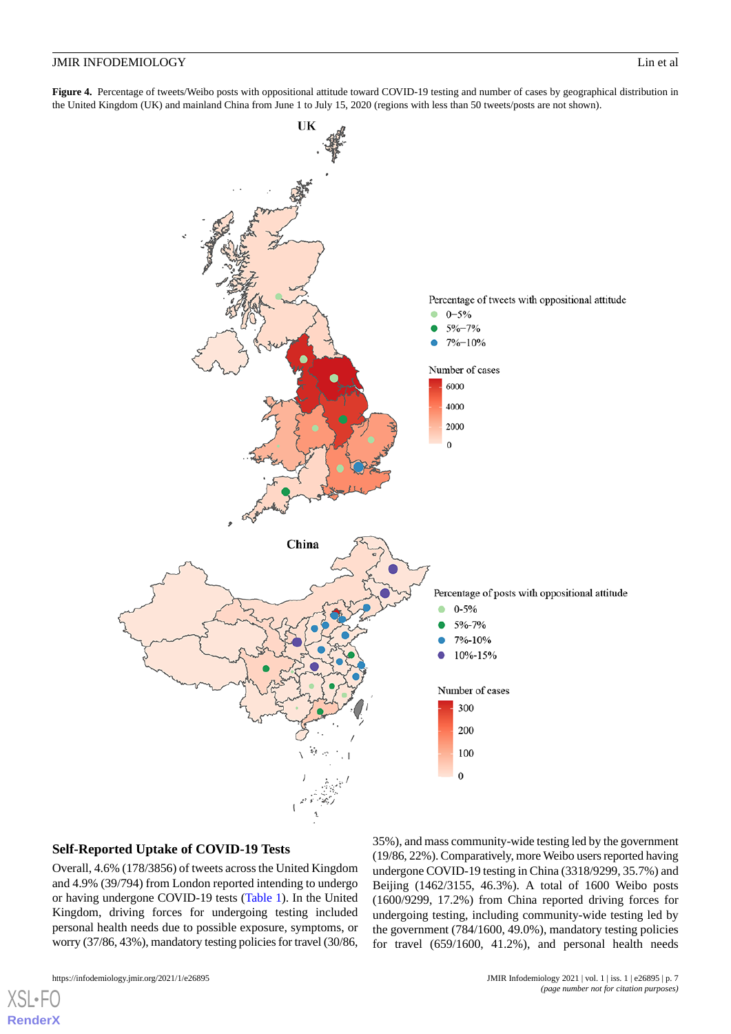#### **JMIR INFODEMIOLOGY** Lin et al.

<span id="page-6-0"></span>**Figure 4.** Percentage of tweets/Weibo posts with oppositional attitude toward COVID-19 testing and number of cases by geographical distribution in the United Kingdom (UK) and mainland China from June 1 to July 15, 2020 (regions with less than 50 tweets/posts are not shown).



## **Self-Reported Uptake of COVID-19 Tests**

Overall, 4.6% (178/3856) of tweets across the United Kingdom and 4.9% (39/794) from London reported intending to undergo or having undergone COVID-19 tests ([Table 1\)](#page-7-0). In the United Kingdom, driving forces for undergoing testing included personal health needs due to possible exposure, symptoms, or worry (37/86, 43%), mandatory testing policies for travel (30/86, 35%), and mass community-wide testing led by the government (19/86, 22%). Comparatively, more Weibo users reported having undergone COVID-19 testing in China (3318/9299, 35.7%) and Beijing (1462/3155, 46.3%). A total of 1600 Weibo posts (1600/9299, 17.2%) from China reported driving forces for undergoing testing, including community-wide testing led by the government (784/1600, 49.0%), mandatory testing policies for travel (659/1600, 41.2%), and personal health needs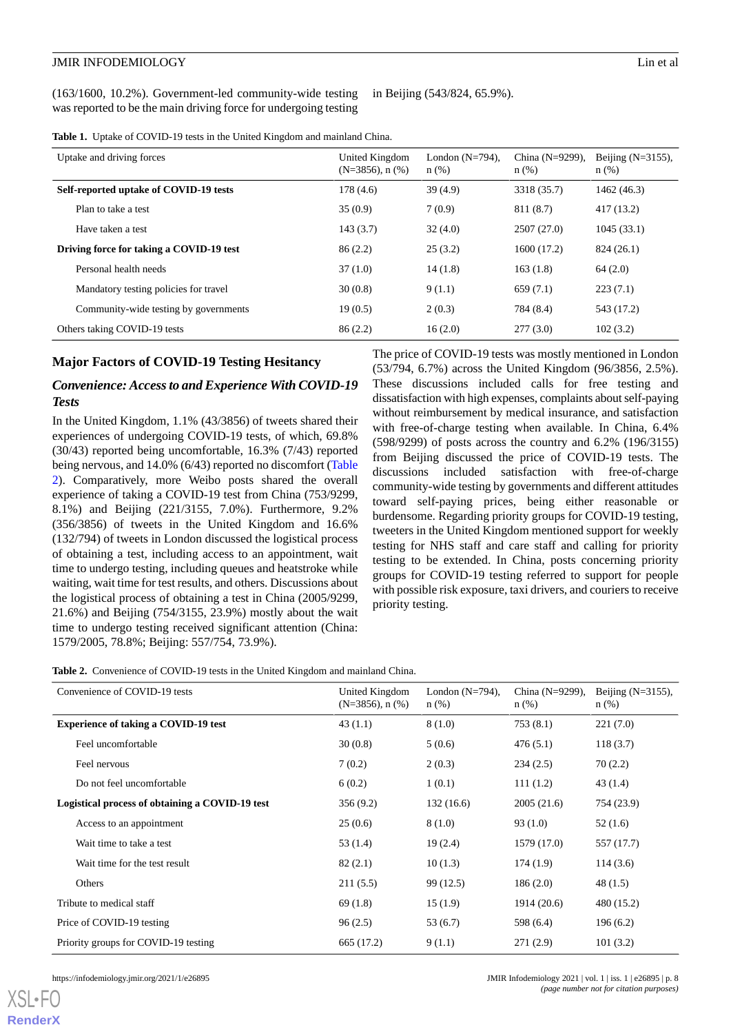#### **JMIR INFODEMIOLOGY** Lin et al.

(163/1600, 10.2%). Government-led community-wide testing was reported to be the main driving force for undergoing testing

in Beijing (543/824, 65.9%).

<span id="page-7-0"></span>

|  |  |  |  |  |  | <b>Table 1.</b> Uptake of COVID-19 tests in the United Kingdom and mainland China. |  |
|--|--|--|--|--|--|------------------------------------------------------------------------------------|--|
|--|--|--|--|--|--|------------------------------------------------------------------------------------|--|

| Uptake and driving forces                | United Kingdom<br>$(N=3856)$ , n $(\%)$ | London $(N=794)$ ,<br>$n$ (%) | China (N=9299),<br>$n$ (%) | Beijing $(N=3155)$ ,<br>$n$ (%) |
|------------------------------------------|-----------------------------------------|-------------------------------|----------------------------|---------------------------------|
| Self-reported uptake of COVID-19 tests   | 178(4.6)                                | 39(4.9)                       | 3318 (35.7)                | 1462 (46.3)                     |
| Plan to take a test                      | 35(0.9)                                 | 7(0.9)                        | 811 (8.7)                  | 417(13.2)                       |
| Have taken a test                        | 143(3.7)                                | 32(4.0)                       | 2507(27.0)                 | 1045(33.1)                      |
| Driving force for taking a COVID-19 test | 86(2.2)                                 | 25(3.2)                       | 1600 (17.2)                | 824 (26.1)                      |
| Personal health needs                    | 37(1.0)                                 | 14(1.8)                       | 163(1.8)                   | 64(2.0)                         |
| Mandatory testing policies for travel    | 30(0.8)                                 | 9(1.1)                        | 659(7.1)                   | 223(7.1)                        |
| Community-wide testing by governments    | 19(0.5)                                 | 2(0.3)                        | 784 (8.4)                  | 543 (17.2)                      |
| Others taking COVID-19 tests             | 86(2.2)                                 | 16(2.0)                       | 277(3.0)                   | 102(3.2)                        |

#### **Major Factors of COVID-19 Testing Hesitancy**

## *Convenience: Access to and Experience With COVID-19 Tests*

In the United Kingdom, 1.1% (43/3856) of tweets shared their experiences of undergoing COVID-19 tests, of which, 69.8% (30/43) reported being uncomfortable, 16.3% (7/43) reported being nervous, and 14.0% (6/43) reported no discomfort ([Table](#page-7-1) [2\)](#page-7-1). Comparatively, more Weibo posts shared the overall experience of taking a COVID-19 test from China (753/9299, 8.1%) and Beijing (221/3155, 7.0%). Furthermore, 9.2% (356/3856) of tweets in the United Kingdom and 16.6% (132/794) of tweets in London discussed the logistical process of obtaining a test, including access to an appointment, wait time to undergo testing, including queues and heatstroke while waiting, wait time for test results, and others. Discussions about the logistical process of obtaining a test in China (2005/9299, 21.6%) and Beijing (754/3155, 23.9%) mostly about the wait time to undergo testing received significant attention (China: 1579/2005, 78.8%; Beijing: 557/754, 73.9%).

The price of COVID-19 tests was mostly mentioned in London (53/794, 6.7%) across the United Kingdom (96/3856, 2.5%). These discussions included calls for free testing and dissatisfaction with high expenses, complaints about self-paying without reimbursement by medical insurance, and satisfaction with free-of-charge testing when available. In China, 6.4% (598/9299) of posts across the country and 6.2% (196/3155) from Beijing discussed the price of COVID-19 tests. The discussions included satisfaction with free-of-charge community-wide testing by governments and different attitudes toward self-paying prices, being either reasonable or burdensome. Regarding priority groups for COVID-19 testing, tweeters in the United Kingdom mentioned support for weekly testing for NHS staff and care staff and calling for priority testing to be extended. In China, posts concerning priority groups for COVID-19 testing referred to support for people with possible risk exposure, taxi drivers, and couriers to receive priority testing.

<span id="page-7-1"></span>**Table 2.** Convenience of COVID-19 tests in the United Kingdom and mainland China.

| Convenience of COVID-19 tests                   | United Kingdom<br>$(N=3856)$ , n $(\%)$ | London $(N=794)$ ,<br>$n$ (%) | China $(N=9299)$ ,<br>$n$ (%) | Beijing $(N=3155)$ ,<br>$n$ (%) |
|-------------------------------------------------|-----------------------------------------|-------------------------------|-------------------------------|---------------------------------|
| <b>Experience of taking a COVID-19 test</b>     | 43(1.1)                                 | 8(1.0)                        | 753(8.1)                      | 221(7.0)                        |
| Feel uncomfortable                              | 30(0.8)                                 | 5(0.6)                        | 476(5.1)                      | 118(3.7)                        |
| Feel nervous                                    | 7(0.2)                                  | 2(0.3)                        | 234(2.5)                      | 70(2.2)                         |
| Do not feel uncomfortable                       | 6(0.2)                                  | 1(0.1)                        | 111(1.2)                      | 43(1.4)                         |
| Logistical process of obtaining a COVID-19 test | 356(9.2)                                | 132(16.6)                     | 2005(21.6)                    | 754 (23.9)                      |
| Access to an appointment                        | 25(0.6)                                 | 8(1.0)                        | 93(1.0)                       | 52(1.6)                         |
| Wait time to take a test                        | 53 (1.4)                                | 19(2.4)                       | 1579 (17.0)                   | 557 (17.7)                      |
| Wait time for the test result                   | 82(2.1)                                 | 10(1.3)                       | 174(1.9)                      | 114(3.6)                        |
| Others                                          | 211(5.5)                                | 99 (12.5)                     | 186(2.0)                      | 48(1.5)                         |
| Tribute to medical staff                        | 69 (1.8)                                | 15(1.9)                       | 1914 (20.6)                   | 480 (15.2)                      |
| Price of COVID-19 testing                       | 96(2.5)                                 | 53(6.7)                       | 598 (6.4)                     | 196(6.2)                        |
| Priority groups for COVID-19 testing            | 665 (17.2)                              | 9(1.1)                        | 271(2.9)                      | 101(3.2)                        |

[XSL](http://www.w3.org/Style/XSL)•FO **[RenderX](http://www.renderx.com/)**

https://infodemiology.jmir.org/2021/1/e26895 **JMIR Infodemiology 2021 | vol. 1 | iss. 1 | e26895 | p. 8** *(page number not for citation purposes)*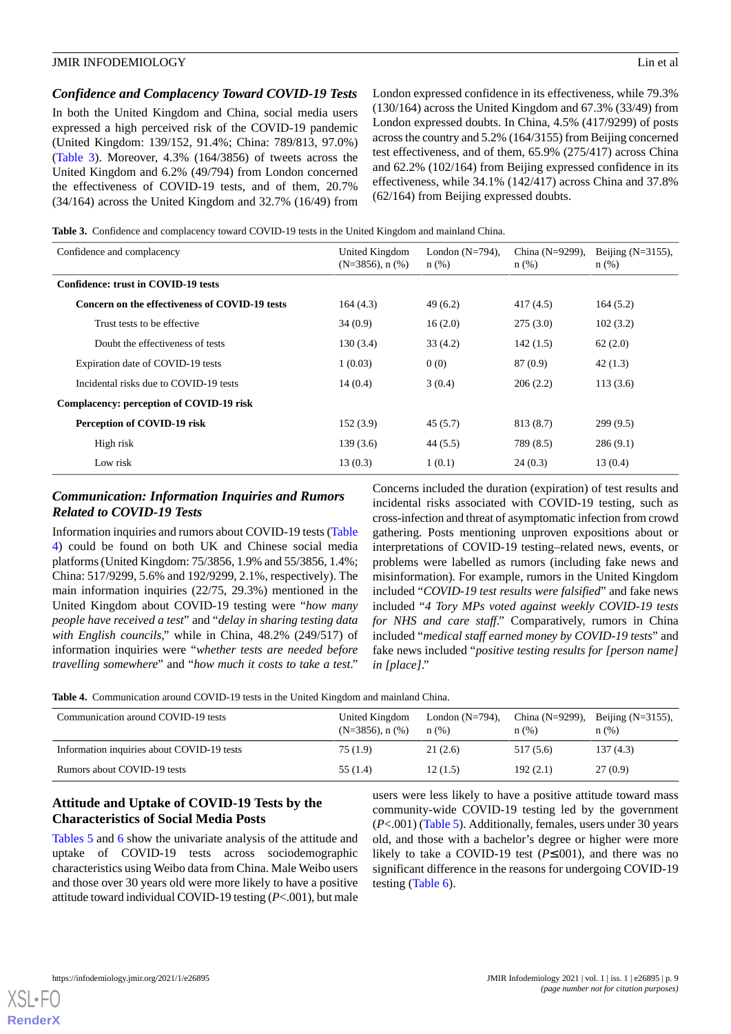## *Confidence and Complacency Toward COVID-19 Tests*

In both the United Kingdom and China, social media users expressed a high perceived risk of the COVID-19 pandemic (United Kingdom: 139/152, 91.4%; China: 789/813, 97.0%) ([Table 3](#page-8-0)). Moreover, 4.3% (164/3856) of tweets across the United Kingdom and 6.2% (49/794) from London concerned the effectiveness of COVID-19 tests, and of them, 20.7% (34/164) across the United Kingdom and 32.7% (16/49) from London expressed confidence in its effectiveness, while 79.3% (130/164) across the United Kingdom and 67.3% (33/49) from London expressed doubts. In China, 4.5% (417/9299) of posts across the country and 5.2% (164/3155) from Beijing concerned test effectiveness, and of them, 65.9% (275/417) across China and 62.2% (102/164) from Beijing expressed confidence in its effectiveness, while 34.1% (142/417) across China and 37.8% (62/164) from Beijing expressed doubts.

<span id="page-8-0"></span>**Table 3.** Confidence and complacency toward COVID-19 tests in the United Kingdom and mainland China.

| Confidence and complacency                     | United Kingdom<br>$(N=3856)$ , n $(\%)$ | London $(N=794)$ ,<br>$n$ (%) | China $(N=9299)$ ,<br>$n$ (%) | Beijing $(N=3155)$ ,<br>$n$ (%) |
|------------------------------------------------|-----------------------------------------|-------------------------------|-------------------------------|---------------------------------|
| Confidence: trust in COVID-19 tests            |                                         |                               |                               |                                 |
| Concern on the effectiveness of COVID-19 tests | 164(4.3)                                | 49(6.2)                       | 417(4.5)                      | 164(5.2)                        |
| Trust tests to be effective.                   | 34(0.9)                                 | 16(2.0)                       | 275(3.0)                      | 102(3.2)                        |
| Doubt the effectiveness of tests               | 130(3.4)                                | 33(4.2)                       | 142(1.5)                      | 62(2.0)                         |
| Expiration date of COVID-19 tests              | 1(0.03)                                 | 0(0)                          | 87 (0.9)                      | 42(1.3)                         |
| Incidental risks due to COVID-19 tests         | 14(0.4)                                 | 3(0.4)                        | 206(2.2)                      | 113(3.6)                        |
| Complacency: perception of COVID-19 risk       |                                         |                               |                               |                                 |
| Perception of COVID-19 risk                    | 152(3.9)                                | 45(5.7)                       | 813 (8.7)                     | 299(9.5)                        |
| High risk                                      | 139(3.6)                                | 44(5.5)                       | 789 (8.5)                     | 286(9.1)                        |
| Low risk                                       | 13(0.3)                                 | 1(0.1)                        | 24(0.3)                       | 13(0.4)                         |

## *Communication: Information Inquiries and Rumors Related to COVID-19 Tests*

Information inquiries and rumors about COVID-19 tests ([Table](#page-8-1) [4\)](#page-8-1) could be found on both UK and Chinese social media platforms (United Kingdom: 75/3856, 1.9% and 55/3856, 1.4%; China: 517/9299, 5.6% and 192/9299, 2.1%, respectively). The main information inquiries (22/75, 29.3%) mentioned in the United Kingdom about COVID-19 testing were "*how many people have received a test*" and "*delay in sharing testing data with English councils*," while in China, 48.2% (249/517) of information inquiries were "*whether tests are needed before travelling somewhere*" and "*how much it costs to take a test*."

Concerns included the duration (expiration) of test results and incidental risks associated with COVID-19 testing, such as cross-infection and threat of asymptomatic infection from crowd gathering. Posts mentioning unproven expositions about or interpretations of COVID-19 testing–related news, events, or problems were labelled as rumors (including fake news and misinformation)*.* For example, rumors in the United Kingdom included "*COVID-19 test results were falsified*" and fake news included "*4 Tory MPs voted against weekly COVID-19 tests for NHS and care staff*." Comparatively, rumors in China included "*medical staff earned money by COVID-19 tests*" and fake news included "*positive testing results for [person name] in [place]*."

<span id="page-8-1"></span>**Table 4.** Communication around COVID-19 tests in the United Kingdom and mainland China.

| Communication around COVID-19 tests        | United Kingdom<br>$(N=3856)$ , n $(\%)$ | London $(N=794)$ ,<br>n(%) | China (N=9299),<br>n(%) | Beijing $(N=3155)$ ,<br>$n$ (%) |
|--------------------------------------------|-----------------------------------------|----------------------------|-------------------------|---------------------------------|
| Information inquiries about COVID-19 tests | 75 (1.9)                                | 21(2.6)                    | 517 (5.6)               | 137(4.3)                        |
| Rumors about COVID-19 tests                | 55 (1.4)                                | 12(1.5)                    | 192(2.1)                | 27(0.9)                         |

## **Attitude and Uptake of COVID-19 Tests by the Characteristics of Social Media Posts**

[Tables 5](#page-9-0) and [6](#page-9-1) show the univariate analysis of the attitude and uptake of COVID-19 tests across sociodemographic characteristics using Weibo data from China. Male Weibo users and those over 30 years old were more likely to have a positive attitude toward individual COVID-19 testing (*P*<.001), but male

users were less likely to have a positive attitude toward mass community-wide COVID-19 testing led by the government (*P*<.001) ([Table 5](#page-9-0)). Additionally, females, users under 30 years old, and those with a bachelor's degree or higher were more likely to take a COVID-19 test (*P*≤.001), and there was no significant difference in the reasons for undergoing COVID-19 testing [\(Table 6\)](#page-9-1).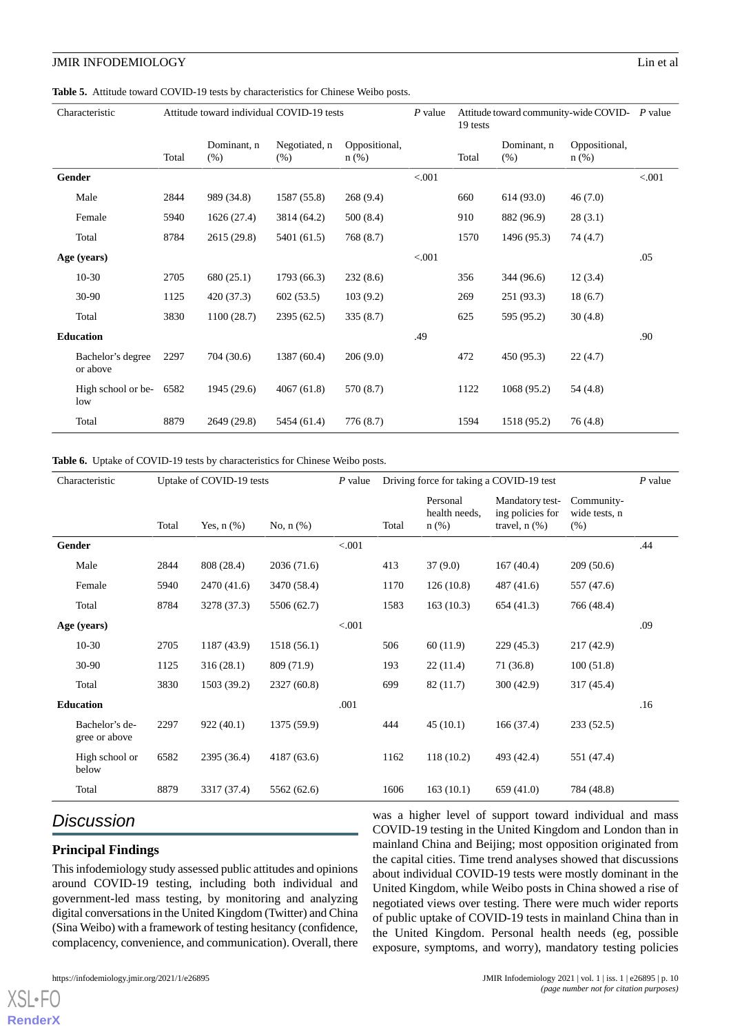#### <span id="page-9-0"></span>**Table 5.** Attitude toward COVID-19 tests by characteristics for Chinese Weibo posts.

|             | Characteristic                | Attitude toward individual COVID-19 tests<br>Attitude toward community-wide COVID- P value<br>$P$ value<br>19 tests |                     |                       |                          |        |       |                     |                          |        |
|-------------|-------------------------------|---------------------------------------------------------------------------------------------------------------------|---------------------|-----------------------|--------------------------|--------|-------|---------------------|--------------------------|--------|
|             |                               | Total                                                                                                               | Dominant, n<br>(% ) | Negotiated, n<br>(% ) | Oppositional,<br>$n$ (%) |        | Total | Dominant, n<br>(% ) | Oppositional,<br>$n$ (%) |        |
|             | Gender                        |                                                                                                                     |                     |                       |                          | < .001 |       |                     |                          | < .001 |
|             | Male                          | 2844                                                                                                                | 989 (34.8)          | 1587 (55.8)           | 268(9.4)                 |        | 660   | 614(93.0)           | 46(7.0)                  |        |
|             | Female                        | 5940                                                                                                                | 1626(27.4)          | 3814 (64.2)           | 500(8.4)                 |        | 910   | 882 (96.9)          | 28(3.1)                  |        |
|             | Total                         | 8784                                                                                                                | 2615 (29.8)         | 5401 (61.5)           | 768(8.7)                 |        | 1570  | 1496 (95.3)         | 74(4.7)                  |        |
| Age (years) |                               |                                                                                                                     |                     |                       |                          | < .001 |       |                     |                          | .05    |
|             | $10-30$                       | 2705                                                                                                                | 680 (25.1)          | 1793 (66.3)           | 232(8.6)                 |        | 356   | 344 (96.6)          | 12(3.4)                  |        |
|             | 30-90                         | 1125                                                                                                                | 420 (37.3)          | 602(53.5)             | 103(9.2)                 |        | 269   | 251(93.3)           | 18(6.7)                  |        |
|             | Total                         | 3830                                                                                                                | 1100(28.7)          | 2395 (62.5)           | 335(8.7)                 |        | 625   | 595 (95.2)          | 30(4.8)                  |        |
|             | <b>Education</b>              |                                                                                                                     |                     |                       |                          | .49    |       |                     |                          | .90    |
|             | Bachelor's degree<br>or above | 2297                                                                                                                | 704 (30.6)          | 1387 (60.4)           | 206(9.0)                 |        | 472   | 450 (95.3)          | 22(4.7)                  |        |
|             | High school or be-<br>low     | 6582                                                                                                                | 1945 (29.6)         | 4067(61.8)            | 570 (8.7)                |        | 1122  | 1068 (95.2)         | 54 (4.8)                 |        |
|             | Total                         | 8879                                                                                                                | 2649 (29.8)         | 5454 (61.4)           | 776 (8.7)                |        | 1594  | 1518 (95.2)         | 76 (4.8)                 |        |

#### <span id="page-9-1"></span>Table 6. Uptake of COVID-19 tests by characteristics for Chinese Weibo posts.

|             | Characteristic<br>Uptake of COVID-19 tests |       | $P$ value       | Driving force for taking a COVID-19 test | $P$ value |       |                                      |                                                           |                                     |     |
|-------------|--------------------------------------------|-------|-----------------|------------------------------------------|-----------|-------|--------------------------------------|-----------------------------------------------------------|-------------------------------------|-----|
|             |                                            | Total | Yes, $n$ $(\%)$ | No, $n$ $(\%)$                           |           | Total | Personal<br>health needs,<br>$n$ (%) | Mandatory test-<br>ing policies for<br>travel, $n$ $(\%)$ | Community-<br>wide tests, n<br>(% ) |     |
| Gender      |                                            |       |                 |                                          | < .001    |       |                                      |                                                           |                                     | .44 |
|             | Male                                       | 2844  | 808 (28.4)      | 2036(71.6)                               |           | 413   | 37(9.0)                              | 167(40.4)                                                 | 209(50.6)                           |     |
|             | Female                                     | 5940  | 2470 (41.6)     | 3470 (58.4)                              |           | 1170  | 126(10.8)                            | 487(41.6)                                                 | 557 (47.6)                          |     |
|             | Total                                      | 8784  | 3278 (37.3)     | 5506 (62.7)                              |           | 1583  | 163(10.3)                            | 654(41.3)                                                 | 766 (48.4)                          |     |
| Age (years) |                                            |       |                 |                                          | < 0.001   |       |                                      |                                                           |                                     | .09 |
|             | $10-30$                                    | 2705  | 1187 (43.9)     | 1518(56.1)                               |           | 506   | 60(11.9)                             | 229(45.3)                                                 | 217(42.9)                           |     |
|             | 30-90                                      | 1125  | 316(28.1)       | 809 (71.9)                               |           | 193   | 22(11.4)                             | 71(36.8)                                                  | 100(51.8)                           |     |
|             | Total                                      | 3830  | 1503 (39.2)     | 2327 (60.8)                              |           | 699   | 82 (11.7)                            | 300(42.9)                                                 | 317 (45.4)                          |     |
|             | <b>Education</b>                           |       |                 |                                          | .001      |       |                                      |                                                           |                                     | .16 |
|             | Bachelor's de-<br>gree or above            | 2297  | 922(40.1)       | 1375 (59.9)                              |           | 444   | 45(10.1)                             | 166(37.4)                                                 | 233(52.5)                           |     |
|             | High school or<br>below                    | 6582  | 2395 (36.4)     | 4187 (63.6)                              |           | 1162  | 118(10.2)                            | 493 (42.4)                                                | 551 (47.4)                          |     |
|             | Total                                      | 8879  | 3317 (37.4)     | 5562 (62.6)                              |           | 1606  | 163(10.1)                            | 659(41.0)                                                 | 784 (48.8)                          |     |

# *Discussion*

## **Principal Findings**

This infodemiology study assessed public attitudes and opinions around COVID-19 testing, including both individual and government-led mass testing, by monitoring and analyzing digital conversations in the United Kingdom (Twitter) and China (Sina Weibo) with a framework of testing hesitancy (confidence, complacency, convenience, and communication). Overall, there

was a higher level of support toward individual and mass COVID-19 testing in the United Kingdom and London than in mainland China and Beijing; most opposition originated from the capital cities. Time trend analyses showed that discussions about individual COVID-19 tests were mostly dominant in the United Kingdom, while Weibo posts in China showed a rise of negotiated views over testing. There were much wider reports of public uptake of COVID-19 tests in mainland China than in the United Kingdom. Personal health needs (eg, possible exposure, symptoms, and worry), mandatory testing policies

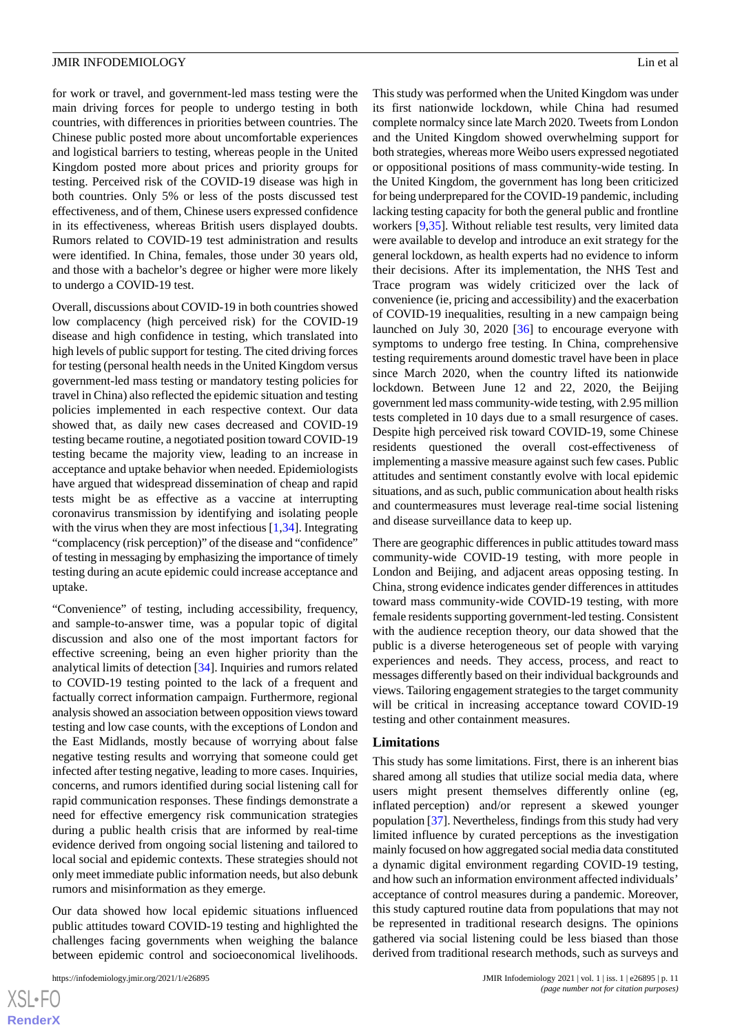for work or travel, and government-led mass testing were the main driving forces for people to undergo testing in both countries, with differences in priorities between countries. The Chinese public posted more about uncomfortable experiences and logistical barriers to testing, whereas people in the United Kingdom posted more about prices and priority groups for testing. Perceived risk of the COVID-19 disease was high in both countries. Only 5% or less of the posts discussed test effectiveness, and of them, Chinese users expressed confidence in its effectiveness, whereas British users displayed doubts. Rumors related to COVID-19 test administration and results were identified. In China, females, those under 30 years old, and those with a bachelor's degree or higher were more likely to undergo a COVID-19 test.

Overall, discussions about COVID-19 in both countries showed low complacency (high perceived risk) for the COVID-19 disease and high confidence in testing, which translated into high levels of public support for testing. The cited driving forces for testing (personal health needs in the United Kingdom versus government-led mass testing or mandatory testing policies for travel in China) also reflected the epidemic situation and testing policies implemented in each respective context. Our data showed that, as daily new cases decreased and COVID-19 testing became routine, a negotiated position toward COVID-19 testing became the majority view, leading to an increase in acceptance and uptake behavior when needed. Epidemiologists have argued that widespread dissemination of cheap and rapid tests might be as effective as a vaccine at interrupting coronavirus transmission by identifying and isolating people with the virus when they are most infectious [\[1,](#page-11-0)[34\]](#page-13-5). Integrating "complacency (risk perception)" of the disease and "confidence" of testing in messaging by emphasizing the importance of timely testing during an acute epidemic could increase acceptance and uptake.

"Convenience" of testing, including accessibility, frequency, and sample-to-answer time, was a popular topic of digital discussion and also one of the most important factors for effective screening, being an even higher priority than the analytical limits of detection [\[34](#page-13-5)]. Inquiries and rumors related to COVID-19 testing pointed to the lack of a frequent and factually correct information campaign. Furthermore, regional analysis showed an association between opposition views toward testing and low case counts, with the exceptions of London and the East Midlands, mostly because of worrying about false negative testing results and worrying that someone could get infected after testing negative, leading to more cases. Inquiries, concerns, and rumors identified during social listening call for rapid communication responses. These findings demonstrate a need for effective emergency risk communication strategies during a public health crisis that are informed by real-time evidence derived from ongoing social listening and tailored to local social and epidemic contexts. These strategies should not only meet immediate public information needs, but also debunk rumors and misinformation as they emerge.

Our data showed how local epidemic situations influenced public attitudes toward COVID-19 testing and highlighted the challenges facing governments when weighing the balance between epidemic control and socioeconomical livelihoods.

This study was performed when the United Kingdom was under its first nationwide lockdown, while China had resumed complete normalcy since late March 2020. Tweets from London and the United Kingdom showed overwhelming support for both strategies, whereas more Weibo users expressed negotiated or oppositional positions of mass community-wide testing. In the United Kingdom, the government has long been criticized for being underprepared for the COVID-19 pandemic, including lacking testing capacity for both the general public and frontline workers [[9](#page-12-5)[,35](#page-13-6)]. Without reliable test results, very limited data were available to develop and introduce an exit strategy for the general lockdown, as health experts had no evidence to inform their decisions. After its implementation, the NHS Test and Trace program was widely criticized over the lack of convenience (ie, pricing and accessibility) and the exacerbation of COVID-19 inequalities, resulting in a new campaign being launched on July 30, 2020 [\[36](#page-13-7)] to encourage everyone with symptoms to undergo free testing. In China, comprehensive testing requirements around domestic travel have been in place since March 2020, when the country lifted its nationwide lockdown. Between June 12 and 22, 2020, the Beijing government led mass community-wide testing, with 2.95 million tests completed in 10 days due to a small resurgence of cases. Despite high perceived risk toward COVID-19, some Chinese residents questioned the overall cost-effectiveness of implementing a massive measure against such few cases. Public attitudes and sentiment constantly evolve with local epidemic situations, and as such, public communication about health risks and countermeasures must leverage real-time social listening and disease surveillance data to keep up.

There are geographic differences in public attitudes toward mass community-wide COVID-19 testing, with more people in London and Beijing, and adjacent areas opposing testing. In China, strong evidence indicates gender differences in attitudes toward mass community-wide COVID-19 testing, with more female residents supporting government-led testing. Consistent with the audience reception theory, our data showed that the public is a diverse heterogeneous set of people with varying experiences and needs. They access, process, and react to messages differently based on their individual backgrounds and views. Tailoring engagement strategies to the target community will be critical in increasing acceptance toward COVID-19 testing and other containment measures.

#### **Limitations**

This study has some limitations. First, there is an inherent bias shared among all studies that utilize social media data, where users might present themselves differently online (eg, inflated perception) and/or represent a skewed younger population [\[37](#page-13-8)]. Nevertheless, findings from this study had very limited influence by curated perceptions as the investigation mainly focused on how aggregated social media data constituted a dynamic digital environment regarding COVID-19 testing, and how such an information environment affected individuals' acceptance of control measures during a pandemic. Moreover, this study captured routine data from populations that may not be represented in traditional research designs. The opinions gathered via social listening could be less biased than those derived from traditional research methods, such as surveys and

```
XS-FO
RenderX
```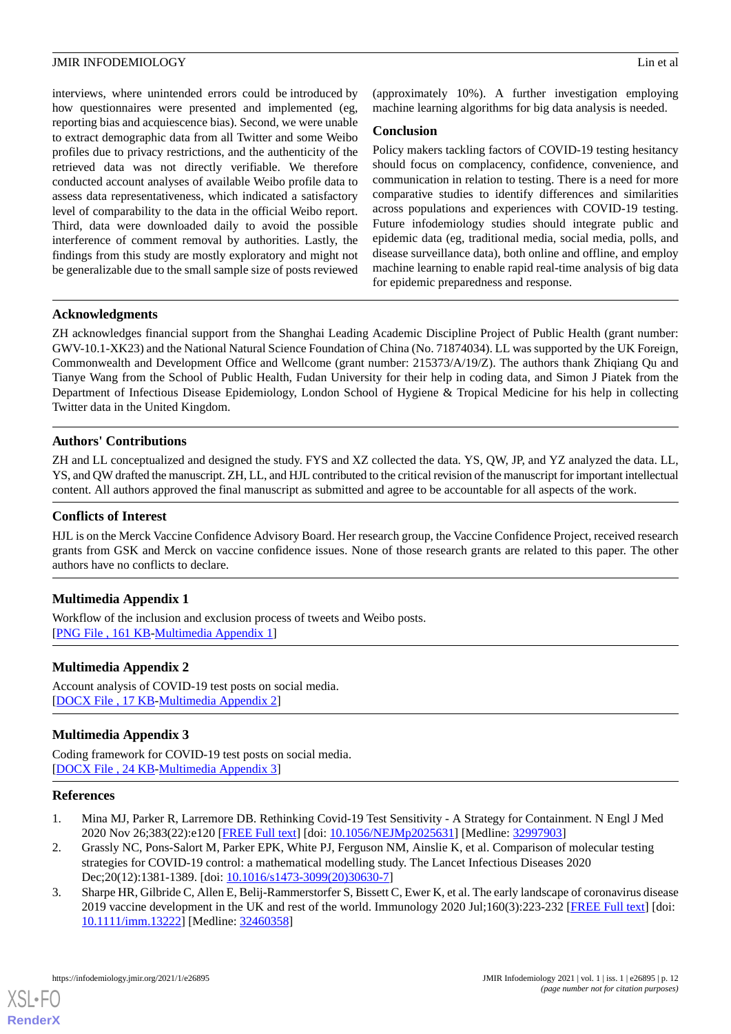interviews, where unintended errors could be introduced by how questionnaires were presented and implemented (eg, reporting bias and acquiescence bias). Second, we were unable to extract demographic data from all Twitter and some Weibo profiles due to privacy restrictions, and the authenticity of the retrieved data was not directly verifiable. We therefore conducted account analyses of available Weibo profile data to assess data representativeness, which indicated a satisfactory level of comparability to the data in the official Weibo report. Third, data were downloaded daily to avoid the possible interference of comment removal by authorities. Lastly, the findings from this study are mostly exploratory and might not be generalizable due to the small sample size of posts reviewed

(approximately 10%). A further investigation employing machine learning algorithms for big data analysis is needed.

## **Conclusion**

Policy makers tackling factors of COVID-19 testing hesitancy should focus on complacency, confidence, convenience, and communication in relation to testing. There is a need for more comparative studies to identify differences and similarities across populations and experiences with COVID-19 testing. Future infodemiology studies should integrate public and epidemic data (eg, traditional media, social media, polls, and disease surveillance data), both online and offline, and employ machine learning to enable rapid real-time analysis of big data for epidemic preparedness and response.

## **Acknowledgments**

ZH acknowledges financial support from the Shanghai Leading Academic Discipline Project of Public Health (grant number: GWV-10.1-XK23) and the National Natural Science Foundation of China (No. 71874034). LL was supported by the UK Foreign, Commonwealth and Development Office and Wellcome (grant number: 215373/A/19/Z). The authors thank Zhiqiang Qu and Tianye Wang from the School of Public Health, Fudan University for their help in coding data, and Simon J Piatek from the Department of Infectious Disease Epidemiology, London School of Hygiene & Tropical Medicine for his help in collecting Twitter data in the United Kingdom.

## **Authors' Contributions**

ZH and LL conceptualized and designed the study. FYS and XZ collected the data. YS, QW, JP, and YZ analyzed the data. LL, YS, and QW drafted the manuscript. ZH, LL, and HJL contributed to the critical revision of the manuscript for important intellectual content. All authors approved the final manuscript as submitted and agree to be accountable for all aspects of the work.

## **Conflicts of Interest**

<span id="page-11-3"></span>HJL is on the Merck Vaccine Confidence Advisory Board. Her research group, the Vaccine Confidence Project, received research grants from GSK and Merck on vaccine confidence issues. None of those research grants are related to this paper. The other authors have no conflicts to declare.

## <span id="page-11-4"></span>**Multimedia Appendix 1**

Workflow of the inclusion and exclusion process of tweets and Weibo posts. [[PNG File , 161 KB-Multimedia Appendix 1](https://jmir.org/api/download?alt_name=infodemiology_v1i1e26895_app1.png&filename=e30bddd99a1688e500db15fe93c060eb.png)]

## <span id="page-11-5"></span>**Multimedia Appendix 2**

Account analysis of COVID-19 test posts on social media. [[DOCX File , 17 KB](https://jmir.org/api/download?alt_name=infodemiology_v1i1e26895_app2.docx&filename=22cb3d7129f77802e74a7c15cf793e4a.docx)-[Multimedia Appendix 2\]](https://jmir.org/api/download?alt_name=infodemiology_v1i1e26895_app2.docx&filename=22cb3d7129f77802e74a7c15cf793e4a.docx)

## <span id="page-11-0"></span>**Multimedia Appendix 3**

<span id="page-11-1"></span>Coding framework for COVID-19 test posts on social media. [[DOCX File , 24 KB](https://jmir.org/api/download?alt_name=infodemiology_v1i1e26895_app3.docx&filename=abf80915eab5a1792a89ef7b5da3ecc8.docx)-[Multimedia Appendix 3\]](https://jmir.org/api/download?alt_name=infodemiology_v1i1e26895_app3.docx&filename=abf80915eab5a1792a89ef7b5da3ecc8.docx)

## <span id="page-11-2"></span>**References**

- 1. Mina MJ, Parker R, Larremore DB. Rethinking Covid-19 Test Sensitivity A Strategy for Containment. N Engl J Med 2020 Nov 26;383(22):e120 [\[FREE Full text\]](https://www.gov.uk/government/news/nhs-test-and-trace-launches-campaign-to-encourage-everyone-with-symptoms-to-get-a-free-test) [doi: [10.1056/NEJMp2025631](http://dx.doi.org/10.1056/NEJMp2025631)] [Medline: [32997903\]](http://www.ncbi.nlm.nih.gov/entrez/query.fcgi?cmd=Retrieve&db=PubMed&list_uids=32997903&dopt=Abstract)
- 2. Grassly NC, Pons-Salort M, Parker EPK, White PJ, Ferguson NM, Ainslie K, et al. Comparison of molecular testing strategies for COVID-19 control: a mathematical modelling study. The Lancet Infectious Diseases 2020 Dec;20(12):1381-1389. [doi: [10.1016/s1473-3099\(20\)30630-7](http://dx.doi.org/10.1016/s1473-3099(20)30630-7)]
- 3. Sharpe HR, Gilbride C, Allen E, Belij-Rammerstorfer S, Bissett C, Ewer K, et al. The early landscape of coronavirus disease 2019 vaccine development in the UK and rest of the world. Immunology 2020 Jul;160(3):223-232 [[FREE Full text](https://doi.org/10.1111/imm.13222)] [doi: [10.1111/imm.13222\]](http://dx.doi.org/10.1111/imm.13222) [Medline: [32460358](http://www.ncbi.nlm.nih.gov/entrez/query.fcgi?cmd=Retrieve&db=PubMed&list_uids=32460358&dopt=Abstract)]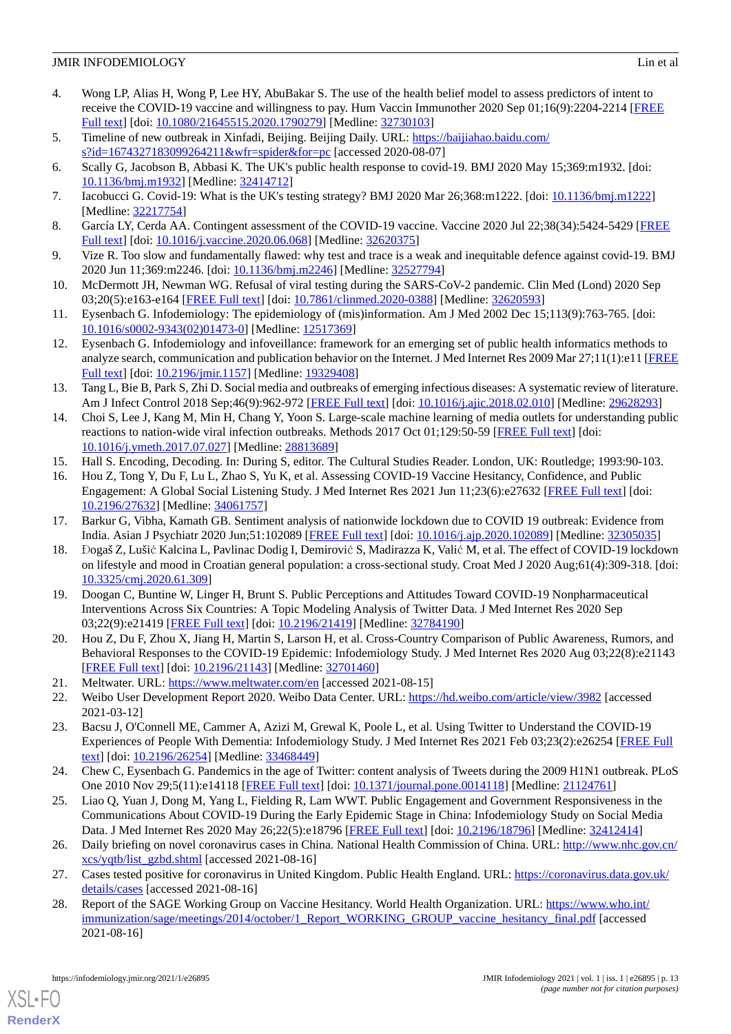## **JMIR INFODEMIOLOGY** Lin et al.

- <span id="page-12-0"></span>4. Wong LP, Alias H, Wong P, Lee HY, AbuBakar S. The use of the health belief model to assess predictors of intent to receive the COVID-19 vaccine and willingness to pay. Hum Vaccin Immunother 2020 Sep 01;16(9):2204-2214 [[FREE](http://europepmc.org/abstract/MED/32730103) [Full text\]](http://europepmc.org/abstract/MED/32730103) [doi: [10.1080/21645515.2020.1790279](http://dx.doi.org/10.1080/21645515.2020.1790279)] [Medline: [32730103](http://www.ncbi.nlm.nih.gov/entrez/query.fcgi?cmd=Retrieve&db=PubMed&list_uids=32730103&dopt=Abstract)]
- <span id="page-12-2"></span><span id="page-12-1"></span>5. Timeline of new outbreak in Xinfadi, Beijing. Beijing Daily. URL: [https://baijiahao.baidu.com/](https://baijiahao.baidu.com/s?id=1674327183099264211&wfr=spider&for=pc) [s?id=1674327183099264211&wfr=spider&for=pc](https://baijiahao.baidu.com/s?id=1674327183099264211&wfr=spider&for=pc) [accessed 2020-08-07]
- <span id="page-12-3"></span>6. Scally G, Jacobson B, Abbasi K. The UK's public health response to covid-19. BMJ 2020 May 15;369:m1932. [doi: [10.1136/bmj.m1932\]](http://dx.doi.org/10.1136/bmj.m1932) [Medline: [32414712](http://www.ncbi.nlm.nih.gov/entrez/query.fcgi?cmd=Retrieve&db=PubMed&list_uids=32414712&dopt=Abstract)]
- <span id="page-12-4"></span>7. Iacobucci G. Covid-19: What is the UK's testing strategy? BMJ 2020 Mar 26;368:m1222. [doi: [10.1136/bmj.m1222\]](http://dx.doi.org/10.1136/bmj.m1222) [Medline: [32217754](http://www.ncbi.nlm.nih.gov/entrez/query.fcgi?cmd=Retrieve&db=PubMed&list_uids=32217754&dopt=Abstract)]
- <span id="page-12-5"></span>8. García LY, Cerda AA. Contingent assessment of the COVID-19 vaccine. Vaccine 2020 Jul 22;38(34):5424-5429 [[FREE](https://linkinghub.elsevier.com/retrieve/pii/S0264-410X(20)30854-9) [Full text\]](https://linkinghub.elsevier.com/retrieve/pii/S0264-410X(20)30854-9) [doi: [10.1016/j.vaccine.2020.06.068\]](http://dx.doi.org/10.1016/j.vaccine.2020.06.068) [Medline: [32620375](http://www.ncbi.nlm.nih.gov/entrez/query.fcgi?cmd=Retrieve&db=PubMed&list_uids=32620375&dopt=Abstract)]
- <span id="page-12-6"></span>9. Vize R. Too slow and fundamentally flawed: why test and trace is a weak and inequitable defence against covid-19. BMJ 2020 Jun 11;369:m2246. [doi: [10.1136/bmj.m2246](http://dx.doi.org/10.1136/bmj.m2246)] [Medline: [32527794](http://www.ncbi.nlm.nih.gov/entrez/query.fcgi?cmd=Retrieve&db=PubMed&list_uids=32527794&dopt=Abstract)]
- <span id="page-12-7"></span>10. McDermott JH, Newman WG. Refusal of viral testing during the SARS-CoV-2 pandemic. Clin Med (Lond) 2020 Sep 03;20(5):e163-e164 [[FREE Full text](http://europepmc.org/abstract/MED/32620593)] [doi: [10.7861/clinmed.2020-0388\]](http://dx.doi.org/10.7861/clinmed.2020-0388) [Medline: [32620593](http://www.ncbi.nlm.nih.gov/entrez/query.fcgi?cmd=Retrieve&db=PubMed&list_uids=32620593&dopt=Abstract)]
- <span id="page-12-8"></span>11. Eysenbach G. Infodemiology: The epidemiology of (mis)information. Am J Med 2002 Dec 15;113(9):763-765. [doi: [10.1016/s0002-9343\(02\)01473-0](http://dx.doi.org/10.1016/s0002-9343(02)01473-0)] [Medline: [12517369\]](http://www.ncbi.nlm.nih.gov/entrez/query.fcgi?cmd=Retrieve&db=PubMed&list_uids=12517369&dopt=Abstract)
- <span id="page-12-9"></span>12. Eysenbach G. Infodemiology and infoveillance: framework for an emerging set of public health informatics methods to analyze search, communication and publication behavior on the Internet. J Med Internet Res 2009 Mar 27;11(1):e11 [\[FREE](https://www.jmir.org/2009/1/e11/) [Full text\]](https://www.jmir.org/2009/1/e11/) [doi: [10.2196/jmir.1157](http://dx.doi.org/10.2196/jmir.1157)] [Medline: [19329408\]](http://www.ncbi.nlm.nih.gov/entrez/query.fcgi?cmd=Retrieve&db=PubMed&list_uids=19329408&dopt=Abstract)
- <span id="page-12-10"></span>13. Tang L, Bie B, Park S, Zhi D. Social media and outbreaks of emerging infectious diseases: A systematic review of literature. Am J Infect Control 2018 Sep;46(9):962-972 [\[FREE Full text\]](http://europepmc.org/abstract/MED/29628293) [doi: [10.1016/j.ajic.2018.02.010](http://dx.doi.org/10.1016/j.ajic.2018.02.010)] [Medline: [29628293](http://www.ncbi.nlm.nih.gov/entrez/query.fcgi?cmd=Retrieve&db=PubMed&list_uids=29628293&dopt=Abstract)]
- <span id="page-12-12"></span><span id="page-12-11"></span>14. Choi S, Lee J, Kang M, Min H, Chang Y, Yoon S. Large-scale machine learning of media outlets for understanding public reactions to nation-wide viral infection outbreaks. Methods 2017 Oct 01;129:50-59 [\[FREE Full text\]](http://europepmc.org/abstract/MED/28813689) [doi: [10.1016/j.ymeth.2017.07.027\]](http://dx.doi.org/10.1016/j.ymeth.2017.07.027) [Medline: [28813689](http://www.ncbi.nlm.nih.gov/entrez/query.fcgi?cmd=Retrieve&db=PubMed&list_uids=28813689&dopt=Abstract)]
- <span id="page-12-13"></span>15. Hall S. Encoding, Decoding. In: During S, editor. The Cultural Studies Reader. London, UK: Routledge; 1993:90-103.
- 16. Hou Z, Tong Y, Du F, Lu L, Zhao S, Yu K, et al. Assessing COVID-19 Vaccine Hesitancy, Confidence, and Public Engagement: A Global Social Listening Study. J Med Internet Res 2021 Jun 11;23(6):e27632 [\[FREE Full text\]](https://www.jmir.org/2021/6/e27632/) [doi: [10.2196/27632\]](http://dx.doi.org/10.2196/27632) [Medline: [34061757\]](http://www.ncbi.nlm.nih.gov/entrez/query.fcgi?cmd=Retrieve&db=PubMed&list_uids=34061757&dopt=Abstract)
- 17. Barkur G, Vibha, Kamath GB. Sentiment analysis of nationwide lockdown due to COVID 19 outbreak: Evidence from India. Asian J Psychiatr 2020 Jun;51:102089 [[FREE Full text](http://europepmc.org/abstract/MED/32305035)] [doi: [10.1016/j.ajp.2020.102089](http://dx.doi.org/10.1016/j.ajp.2020.102089)] [Medline: [32305035\]](http://www.ncbi.nlm.nih.gov/entrez/query.fcgi?cmd=Retrieve&db=PubMed&list_uids=32305035&dopt=Abstract)
- 18. Đogaš Z, Lušić Kalcina L, Pavlinac Dodig I, Demirović S, Madirazza K, Valić M, et al. The effect of COVID-19 lockdown on lifestyle and mood in Croatian general population: a cross-sectional study. Croat Med J 2020 Aug;61(4):309-318. [doi: [10.3325/cmj.2020.61.309](http://dx.doi.org/10.3325/cmj.2020.61.309)]
- <span id="page-12-15"></span><span id="page-12-14"></span>19. Doogan C, Buntine W, Linger H, Brunt S. Public Perceptions and Attitudes Toward COVID-19 Nonpharmaceutical Interventions Across Six Countries: A Topic Modeling Analysis of Twitter Data. J Med Internet Res 2020 Sep 03;22(9):e21419 [\[FREE Full text](https://www.jmir.org/2020/9/e21419/)] [doi: [10.2196/21419\]](http://dx.doi.org/10.2196/21419) [Medline: [32784190\]](http://www.ncbi.nlm.nih.gov/entrez/query.fcgi?cmd=Retrieve&db=PubMed&list_uids=32784190&dopt=Abstract)
- <span id="page-12-17"></span><span id="page-12-16"></span>20. Hou Z, Du F, Zhou X, Jiang H, Martin S, Larson H, et al. Cross-Country Comparison of Public Awareness, Rumors, and Behavioral Responses to the COVID-19 Epidemic: Infodemiology Study. J Med Internet Res 2020 Aug 03;22(8):e21143 [[FREE Full text](https://www.jmir.org/2020/8/e21143/)] [doi: [10.2196/21143\]](http://dx.doi.org/10.2196/21143) [Medline: [32701460\]](http://www.ncbi.nlm.nih.gov/entrez/query.fcgi?cmd=Retrieve&db=PubMed&list_uids=32701460&dopt=Abstract)
- 21. Meltwater. URL:<https://www.meltwater.com/en> [accessed 2021-08-15]
- 22. Weibo User Development Report 2020. Weibo Data Center. URL:<https://hd.weibo.com/article/view/3982> [accessed] 2021-03-12]
- <span id="page-12-18"></span>23. Bacsu J, O'Connell ME, Cammer A, Azizi M, Grewal K, Poole L, et al. Using Twitter to Understand the COVID-19 Experiences of People With Dementia: Infodemiology Study. J Med Internet Res 2021 Feb 03;23(2):e26254 [\[FREE Full](https://www.jmir.org/2021/2/e26254/) [text](https://www.jmir.org/2021/2/e26254/)] [doi: [10.2196/26254\]](http://dx.doi.org/10.2196/26254) [Medline: [33468449\]](http://www.ncbi.nlm.nih.gov/entrez/query.fcgi?cmd=Retrieve&db=PubMed&list_uids=33468449&dopt=Abstract)
- <span id="page-12-19"></span>24. Chew C, Eysenbach G. Pandemics in the age of Twitter: content analysis of Tweets during the 2009 H1N1 outbreak. PLoS One 2010 Nov 29;5(11):e14118 [\[FREE Full text\]](https://dx.plos.org/10.1371/journal.pone.0014118) [doi: [10.1371/journal.pone.0014118\]](http://dx.doi.org/10.1371/journal.pone.0014118) [Medline: [21124761\]](http://www.ncbi.nlm.nih.gov/entrez/query.fcgi?cmd=Retrieve&db=PubMed&list_uids=21124761&dopt=Abstract)
- <span id="page-12-21"></span><span id="page-12-20"></span>25. Liao Q, Yuan J, Dong M, Yang L, Fielding R, Lam WWT. Public Engagement and Government Responsiveness in the Communications About COVID-19 During the Early Epidemic Stage in China: Infodemiology Study on Social Media Data. J Med Internet Res 2020 May 26;22(5):e18796 [\[FREE Full text\]](https://www.jmir.org/2020/5/e18796/) [doi: [10.2196/18796](http://dx.doi.org/10.2196/18796)] [Medline: [32412414](http://www.ncbi.nlm.nih.gov/entrez/query.fcgi?cmd=Retrieve&db=PubMed&list_uids=32412414&dopt=Abstract)]
- 26. Daily briefing on novel coronavirus cases in China. National Health Commission of China. URL: [http://www.nhc.gov.cn/](http://www.nhc.gov.cn/xcs/yqtb/list_gzbd.shtml) [xcs/yqtb/list\\_gzbd.shtml](http://www.nhc.gov.cn/xcs/yqtb/list_gzbd.shtml) [accessed 2021-08-16]
- 27. Cases tested positive for coronavirus in United Kingdom. Public Health England. URL: [https://coronavirus.data.gov.uk/](https://coronavirus.data.gov.uk/details/cases) [details/cases](https://coronavirus.data.gov.uk/details/cases) [accessed 2021-08-16]
- 28. Report of the SAGE Working Group on Vaccine Hesitancy. World Health Organization. URL: [https://www.who.int/](https://www.who.int/immunization/sage/meetings/2014/october/1_Report_WORKING_GROUP_vaccine_hesitancy_final.pdf) [immunization/sage/meetings/2014/october/1\\_Report\\_WORKING\\_GROUP\\_vaccine\\_hesitancy\\_final.pdf](https://www.who.int/immunization/sage/meetings/2014/october/1_Report_WORKING_GROUP_vaccine_hesitancy_final.pdf) [accessed 2021-08-16]